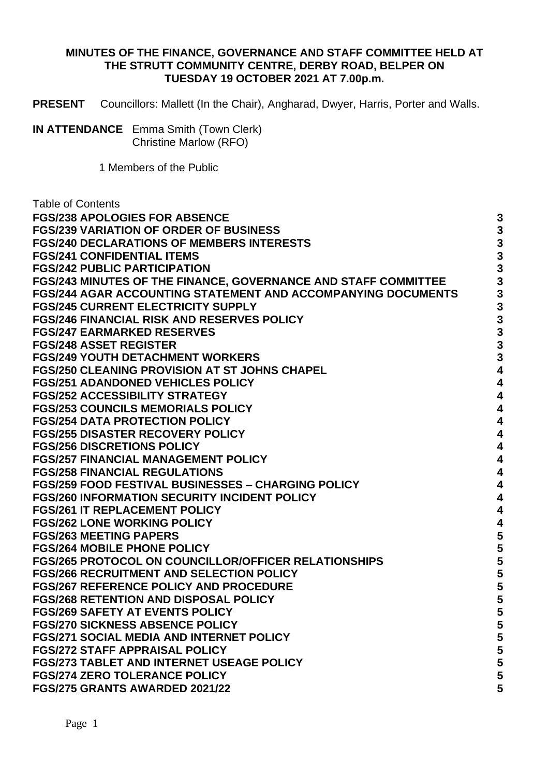## **MINUTES OF THE FINANCE, GOVERNANCE AND STAFF COMMITTEE HELD AT THE STRUTT COMMUNITY CENTRE, DERBY ROAD, BELPER ON TUESDAY 19 OCTOBER 2021 AT 7.00p.m.**

**PRESENT** Councillors: Mallett (In the Chair), Angharad, Dwyer, Harris, Porter and Walls.

1 Members of the Public

| <b>Table of Contents</b>                                            |          |
|---------------------------------------------------------------------|----------|
| <b>FGS/238 APOLOGIES FOR ABSENCE</b>                                | 3        |
| <b>FGS/239 VARIATION OF ORDER OF BUSINESS</b>                       | 3        |
| <b>FGS/240 DECLARATIONS OF MEMBERS INTERESTS</b>                    | 3        |
| <b>FGS/241 CONFIDENTIAL ITEMS</b>                                   | 3        |
| <b>FGS/242 PUBLIC PARTICIPATION</b>                                 | 3        |
| FGS/243 MINUTES OF THE FINANCE, GOVERNANCE AND STAFF COMMITTEE      | 3        |
| <b>FGS/244 AGAR ACCOUNTING STATEMENT AND ACCOMPANYING DOCUMENTS</b> | 3        |
| <b>FGS/245 CURRENT ELECTRICITY SUPPLY</b>                           | 3        |
| <b>FGS/246 FINANCIAL RISK AND RESERVES POLICY</b>                   | 3        |
| <b>FGS/247 EARMARKED RESERVES</b>                                   | <b>ვ</b> |
| <b>FGS/248 ASSET REGISTER</b>                                       |          |
| <b>FGS/249 YOUTH DETACHMENT WORKERS</b>                             | 3        |
| <b>FGS/250 CLEANING PROVISION AT ST JOHNS CHAPEL</b>                | 4        |
| <b>FGS/251 ADANDONED VEHICLES POLICY</b>                            | 4        |
| <b>FGS/252 ACCESSIBILITY STRATEGY</b>                               | 4        |
| <b>FGS/253 COUNCILS MEMORIALS POLICY</b>                            | 4        |
| <b>FGS/254 DATA PROTECTION POLICY</b>                               | 4        |
| <b>FGS/255 DISASTER RECOVERY POLICY</b>                             | 4        |
| <b>FGS/256 DISCRETIONS POLICY</b>                                   | 4        |
| <b>FGS/257 FINANCIAL MANAGEMENT POLICY</b>                          | 4        |
| <b>FGS/258 FINANCIAL REGULATIONS</b>                                | 4        |
| <b>FGS/259 FOOD FESTIVAL BUSINESSES - CHARGING POLICY</b>           | 4        |
| <b>FGS/260 INFORMATION SECURITY INCIDENT POLICY</b>                 | 4        |
| <b>FGS/261 IT REPLACEMENT POLICY</b>                                | 4        |
| <b>FGS/262 LONE WORKING POLICY</b>                                  | 4        |
| <b>FGS/263 MEETING PAPERS</b>                                       | 5        |
| <b>FGS/264 MOBILE PHONE POLICY</b>                                  | 5        |
| <b>FGS/265 PROTOCOL ON COUNCILLOR/OFFICER RELATIONSHIPS</b>         | 5        |
| <b>FGS/266 RECRUITMENT AND SELECTION POLICY</b>                     | 5        |
| <b>FGS/267 REFERENCE POLICY AND PROCEDURE</b>                       | 5        |
| <b>FGS/268 RETENTION AND DISPOSAL POLICY</b>                        | 5        |
| <b>FGS/269 SAFETY AT EVENTS POLICY</b>                              |          |
| <b>FGS/270 SICKNESS ABSENCE POLICY</b>                              | 5        |
| <b>FGS/271 SOCIAL MEDIA AND INTERNET POLICY</b>                     | 5        |
| <b>FGS/272 STAFF APPRAISAL POLICY</b>                               | 5        |
| <b>FGS/273 TABLET AND INTERNET USEAGE POLICY</b>                    | 5        |
| <b>FGS/274 ZERO TOLERANCE POLICY</b>                                | 5        |
| FGS/275 GRANTS AWARDED 2021/22                                      | 5        |

**IN ATTENDANCE** Emma Smith (Town Clerk) Christine Marlow (RFO)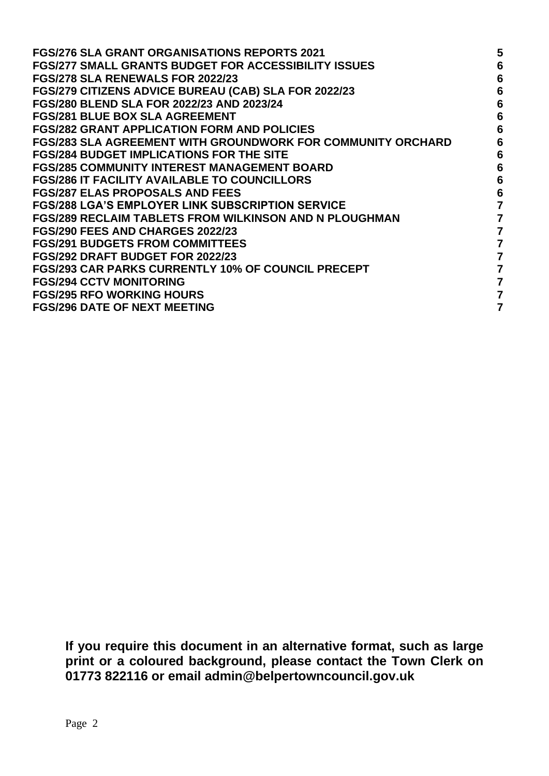| <b>FGS/276 SLA GRANT ORGANISATIONS REPORTS 2021</b>           | 5 |
|---------------------------------------------------------------|---|
| <b>FGS/277 SMALL GRANTS BUDGET FOR ACCESSIBILITY ISSUES</b>   | 6 |
| FGS/278 SLA RENEWALS FOR 2022/23                              | 6 |
| FGS/279 CITIZENS ADVICE BUREAU (CAB) SLA FOR 2022/23          | 6 |
| <b>FGS/280 BLEND SLA FOR 2022/23 AND 2023/24</b>              | 6 |
| <b>FGS/281 BLUE BOX SLA AGREEMENT</b>                         | 6 |
| <b>FGS/282 GRANT APPLICATION FORM AND POLICIES</b>            | 6 |
| FGS/283 SLA AGREEMENT WITH GROUNDWORK FOR COMMUNITY ORCHARD   | 6 |
| <b>FGS/284 BUDGET IMPLICATIONS FOR THE SITE</b>               | 6 |
| <b>FGS/285 COMMUNITY INTEREST MANAGEMENT BOARD</b>            | 6 |
| <b>FGS/286 IT FACILITY AVAILABLE TO COUNCILLORS</b>           | 6 |
| <b>FGS/287 ELAS PROPOSALS AND FEES</b>                        | 6 |
| <b>FGS/288 LGA'S EMPLOYER LINK SUBSCRIPTION SERVICE</b>       |   |
| <b>FGS/289 RECLAIM TABLETS FROM WILKINSON AND N PLOUGHMAN</b> | 7 |
| FGS/290 FEES AND CHARGES 2022/23                              | 7 |
| <b>FGS/291 BUDGETS FROM COMMITTEES</b>                        | 7 |
| FGS/292 DRAFT BUDGET FOR 2022/23                              | 7 |
| <b>FGS/293 CAR PARKS CURRENTLY 10% OF COUNCIL PRECEPT</b>     |   |
| <b>FGS/294 CCTV MONITORING</b>                                | 7 |
| <b>FGS/295 RFO WORKING HOURS</b>                              |   |
| <b>FGS/296 DATE OF NEXT MEETING</b>                           |   |

**If you require this document in an alternative format, such as large print or a coloured background, please contact the Town Clerk on 01773 822116 or email admin@belpertowncouncil.gov.uk**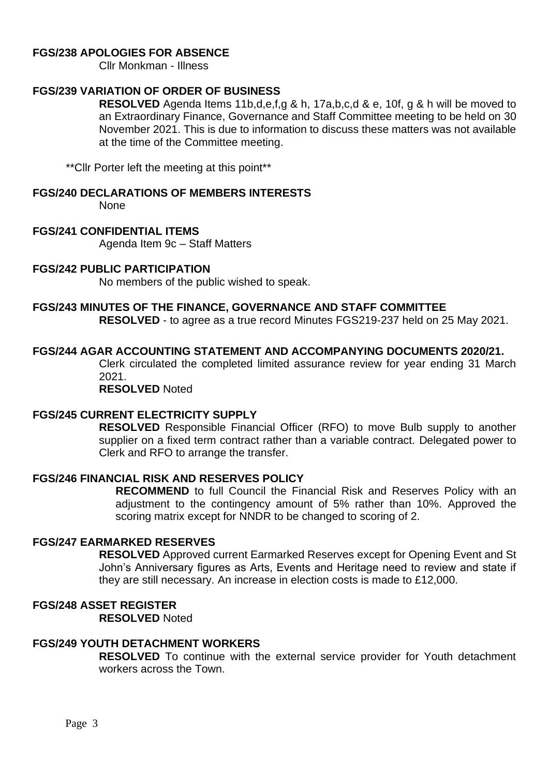## <span id="page-2-0"></span>**FGS/238 APOLOGIES FOR ABSENCE**

Cllr Monkman - Illness

### <span id="page-2-1"></span>**FGS/239 VARIATION OF ORDER OF BUSINESS**

**RESOLVED** Agenda Items 11b,d,e,f,g & h, 17a,b,c,d & e, 10f, g & h will be moved to an Extraordinary Finance, Governance and Staff Committee meeting to be held on 30 November 2021. This is due to information to discuss these matters was not available at the time of the Committee meeting.

\*\*Cllr Porter left the meeting at this point\*\*

## <span id="page-2-2"></span>**FGS/240 DECLARATIONS OF MEMBERS INTERESTS**

None

#### <span id="page-2-3"></span>**FGS/241 CONFIDENTIAL ITEMS**

Agenda Item 9c – Staff Matters

#### <span id="page-2-4"></span>**FGS/242 PUBLIC PARTICIPATION**

No members of the public wished to speak.

#### <span id="page-2-5"></span>**FGS/243 MINUTES OF THE FINANCE, GOVERNANCE AND STAFF COMMITTEE**

**RESOLVED** - to agree as a true record Minutes FGS219-237 held on 25 May 2021.

## <span id="page-2-6"></span>**FGS/244 AGAR ACCOUNTING STATEMENT AND ACCOMPANYING DOCUMENTS 2020/21.**

Clerk circulated the completed limited assurance review for year ending 31 March 2021.

**RESOLVED** Noted

#### <span id="page-2-7"></span>**FGS/245 CURRENT ELECTRICITY SUPPLY**

**RESOLVED** Responsible Financial Officer (RFO) to move Bulb supply to another supplier on a fixed term contract rather than a variable contract. Delegated power to Clerk and RFO to arrange the transfer.

#### <span id="page-2-8"></span>**FGS/246 FINANCIAL RISK AND RESERVES POLICY**

**RECOMMEND** to full Council the Financial Risk and Reserves Policy with an adjustment to the contingency amount of 5% rather than 10%. Approved the scoring matrix except for NNDR to be changed to scoring of 2.

#### <span id="page-2-9"></span>**FGS/247 EARMARKED RESERVES**

**RESOLVED** Approved current Earmarked Reserves except for Opening Event and St John's Anniversary figures as Arts, Events and Heritage need to review and state if they are still necessary. An increase in election costs is made to £12,000.

# <span id="page-2-10"></span>**FGS/248 ASSET REGISTER**

**RESOLVED** Noted

# <span id="page-2-11"></span>**FGS/249 YOUTH DETACHMENT WORKERS**

**RESOLVED** To continue with the external service provider for Youth detachment workers across the Town.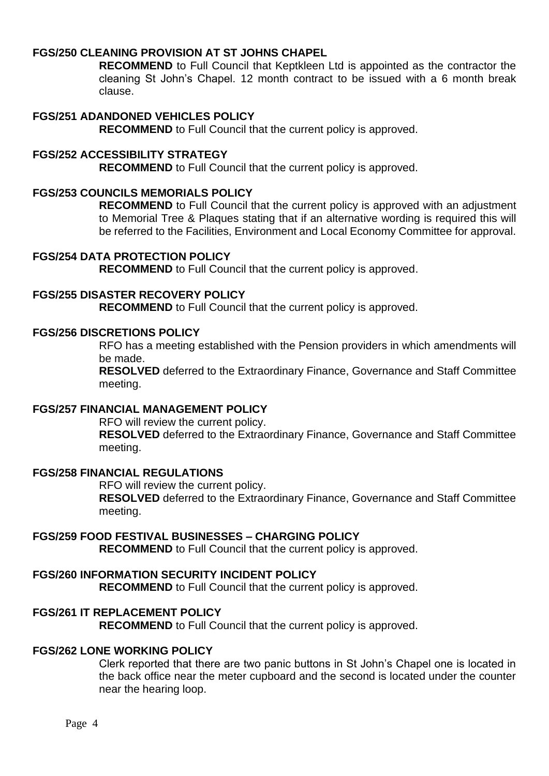# <span id="page-3-0"></span>**FGS/250 CLEANING PROVISION AT ST JOHNS CHAPEL**

**RECOMMEND** to Full Council that Keptkleen Ltd is appointed as the contractor the cleaning St John's Chapel. 12 month contract to be issued with a 6 month break clause.

## <span id="page-3-1"></span>**FGS/251 ADANDONED VEHICLES POLICY**

**RECOMMEND** to Full Council that the current policy is approved.

#### <span id="page-3-2"></span>**FGS/252 ACCESSIBILITY STRATEGY**

**RECOMMEND** to Full Council that the current policy is approved.

#### <span id="page-3-3"></span>**FGS/253 COUNCILS MEMORIALS POLICY**

**RECOMMEND** to Full Council that the current policy is approved with an adjustment to Memorial Tree & Plaques stating that if an alternative wording is required this will be referred to the Facilities, Environment and Local Economy Committee for approval.

#### <span id="page-3-4"></span>**FGS/254 DATA PROTECTION POLICY**

**RECOMMEND** to Full Council that the current policy is approved.

#### <span id="page-3-5"></span>**FGS/255 DISASTER RECOVERY POLICY**

**RECOMMEND** to Full Council that the current policy is approved.

#### <span id="page-3-6"></span>**FGS/256 DISCRETIONS POLICY**

RFO has a meeting established with the Pension providers in which amendments will be made.

**RESOLVED** deferred to the Extraordinary Finance, Governance and Staff Committee meeting.

### <span id="page-3-7"></span>**FGS/257 FINANCIAL MANAGEMENT POLICY**

RFO will review the current policy.

**RESOLVED** deferred to the Extraordinary Finance, Governance and Staff Committee meeting.

## <span id="page-3-8"></span>**FGS/258 FINANCIAL REGULATIONS**

RFO will review the current policy.

**RESOLVED** deferred to the Extraordinary Finance, Governance and Staff Committee meeting.

## <span id="page-3-9"></span>**FGS/259 FOOD FESTIVAL BUSINESSES – CHARGING POLICY**

**RECOMMEND** to Full Council that the current policy is approved.

# <span id="page-3-10"></span>**FGS/260 INFORMATION SECURITY INCIDENT POLICY**

**RECOMMEND** to Full Council that the current policy is approved.

## <span id="page-3-11"></span>**FGS/261 IT REPLACEMENT POLICY**

**RECOMMEND** to Full Council that the current policy is approved.

## <span id="page-3-12"></span>**FGS/262 LONE WORKING POLICY**

Clerk reported that there are two panic buttons in St John's Chapel one is located in the back office near the meter cupboard and the second is located under the counter near the hearing loop.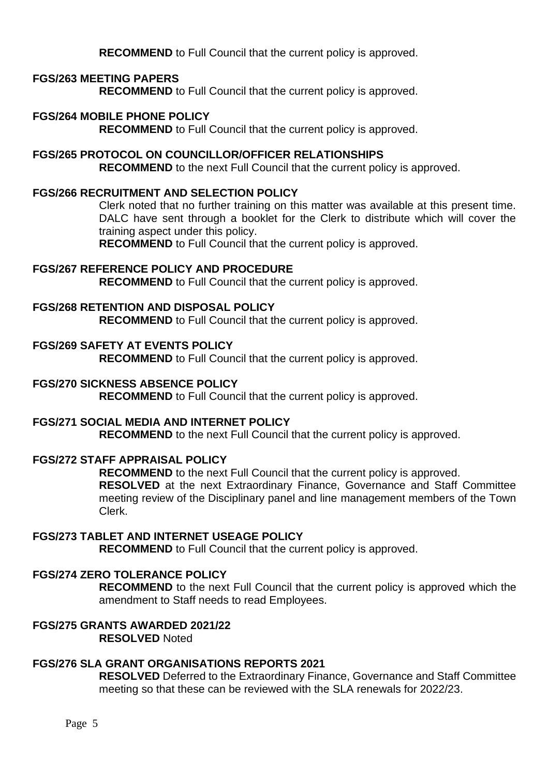**RECOMMEND** to Full Council that the current policy is approved.

## <span id="page-4-0"></span>**FGS/263 MEETING PAPERS**

**RECOMMEND** to Full Council that the current policy is approved.

# <span id="page-4-1"></span>**FGS/264 MOBILE PHONE POLICY**

**RECOMMEND** to Full Council that the current policy is approved.

## <span id="page-4-2"></span>**FGS/265 PROTOCOL ON COUNCILLOR/OFFICER RELATIONSHIPS RECOMMEND** to the next Full Council that the current policy is approved.

### <span id="page-4-3"></span>**FGS/266 RECRUITMENT AND SELECTION POLICY**

Clerk noted that no further training on this matter was available at this present time. DALC have sent through a booklet for the Clerk to distribute which will cover the training aspect under this policy.

**RECOMMEND** to Full Council that the current policy is approved.

### <span id="page-4-4"></span>**FGS/267 REFERENCE POLICY AND PROCEDURE**

**RECOMMEND** to Full Council that the current policy is approved.

### <span id="page-4-5"></span>**FGS/268 RETENTION AND DISPOSAL POLICY**

**RECOMMEND** to Full Council that the current policy is approved.

### <span id="page-4-6"></span>**FGS/269 SAFETY AT EVENTS POLICY**

**RECOMMEND** to Full Council that the current policy is approved.

### <span id="page-4-7"></span>**FGS/270 SICKNESS ABSENCE POLICY**

**RECOMMEND** to Full Council that the current policy is approved.

### <span id="page-4-8"></span>**FGS/271 SOCIAL MEDIA AND INTERNET POLICY**

**RECOMMEND** to the next Full Council that the current policy is approved.

## <span id="page-4-9"></span>**FGS/272 STAFF APPRAISAL POLICY**

**RECOMMEND** to the next Full Council that the current policy is approved.

**RESOLVED** at the next Extraordinary Finance, Governance and Staff Committee meeting review of the Disciplinary panel and line management members of the Town Clerk.

## <span id="page-4-10"></span>**FGS/273 TABLET AND INTERNET USEAGE POLICY**

**RECOMMEND** to Full Council that the current policy is approved.

#### <span id="page-4-11"></span>**FGS/274 ZERO TOLERANCE POLICY**

**RECOMMEND** to the next Full Council that the current policy is approved which the amendment to Staff needs to read Employees.

#### <span id="page-4-12"></span>**FGS/275 GRANTS AWARDED 2021/22 RESOLVED** Noted

# <span id="page-4-13"></span>**FGS/276 SLA GRANT ORGANISATIONS REPORTS 2021**

**RESOLVED** Deferred to the Extraordinary Finance, Governance and Staff Committee meeting so that these can be reviewed with the SLA renewals for 2022/23.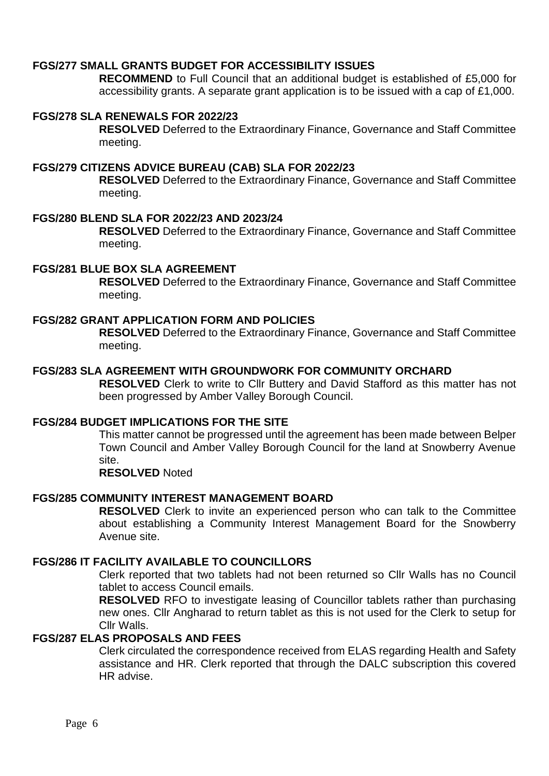## <span id="page-5-0"></span>**FGS/277 SMALL GRANTS BUDGET FOR ACCESSIBILITY ISSUES**

**RECOMMEND** to Full Council that an additional budget is established of £5,000 for accessibility grants. A separate grant application is to be issued with a cap of £1,000.

#### <span id="page-5-1"></span>**FGS/278 SLA RENEWALS FOR 2022/23**

**RESOLVED** Deferred to the Extraordinary Finance, Governance and Staff Committee meeting.

# <span id="page-5-2"></span>**FGS/279 CITIZENS ADVICE BUREAU (CAB) SLA FOR 2022/23**

**RESOLVED** Deferred to the Extraordinary Finance, Governance and Staff Committee meeting.

#### <span id="page-5-3"></span>**FGS/280 BLEND SLA FOR 2022/23 AND 2023/24**

**RESOLVED** Deferred to the Extraordinary Finance, Governance and Staff Committee meeting.

### <span id="page-5-4"></span>**FGS/281 BLUE BOX SLA AGREEMENT**

**RESOLVED** Deferred to the Extraordinary Finance, Governance and Staff Committee meeting.

## <span id="page-5-5"></span>**FGS/282 GRANT APPLICATION FORM AND POLICIES**

**RESOLVED** Deferred to the Extraordinary Finance, Governance and Staff Committee meeting.

# <span id="page-5-6"></span>**FGS/283 SLA AGREEMENT WITH GROUNDWORK FOR COMMUNITY ORCHARD**

**RESOLVED** Clerk to write to Cllr Buttery and David Stafford as this matter has not been progressed by Amber Valley Borough Council.

### <span id="page-5-7"></span>**FGS/284 BUDGET IMPLICATIONS FOR THE SITE**

This matter cannot be progressed until the agreement has been made between Belper Town Council and Amber Valley Borough Council for the land at Snowberry Avenue site.

#### **RESOLVED** Noted

#### <span id="page-5-8"></span>**FGS/285 COMMUNITY INTEREST MANAGEMENT BOARD**

**RESOLVED** Clerk to invite an experienced person who can talk to the Committee about establishing a Community Interest Management Board for the Snowberry Avenue site.

## <span id="page-5-9"></span>**FGS/286 IT FACILITY AVAILABLE TO COUNCILLORS**

Clerk reported that two tablets had not been returned so Cllr Walls has no Council tablet to access Council emails.

**RESOLVED** RFO to investigate leasing of Councillor tablets rather than purchasing new ones. Cllr Angharad to return tablet as this is not used for the Clerk to setup for Cllr Walls.

## <span id="page-5-10"></span>**FGS/287 ELAS PROPOSALS AND FEES**

Clerk circulated the correspondence received from ELAS regarding Health and Safety assistance and HR. Clerk reported that through the DALC subscription this covered HR advise.